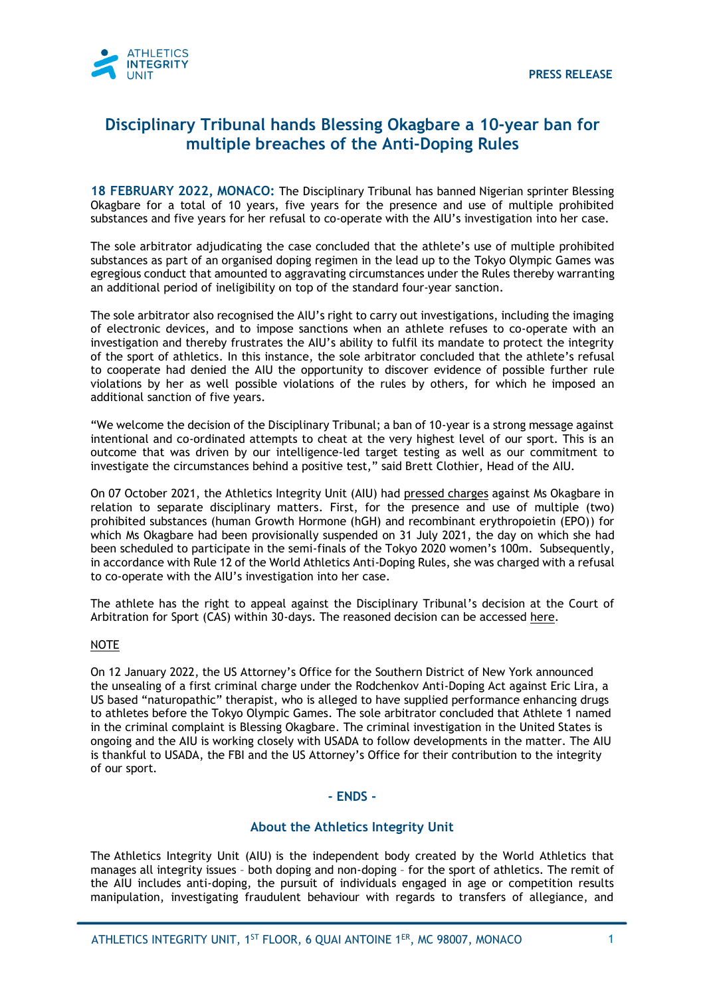

# **Disciplinary Tribunal hands Blessing Okagbare a 10-year ban for multiple breaches of the Anti-Doping Rules**

**18 FEBRUARY 2022, MONACO:** The Disciplinary Tribunal has banned Nigerian sprinter Blessing Okagbare for a total of 10 years, five years for the presence and use of multiple prohibited substances and five years for her refusal to co-operate with the AIU's investigation into her case.

The sole arbitrator adjudicating the case concluded that the athlete's use of multiple prohibited substances as part of an organised doping regimen in the lead up to the Tokyo Olympic Games was egregious conduct that amounted to aggravating circumstances under the Rules thereby warranting an additional period of ineligibility on top of the standard four-year sanction.

The sole arbitrator also recognised the AIU's right to carry out investigations, including the imaging of electronic devices, and to impose sanctions when an athlete refuses to co-operate with an investigation and thereby frustrates the AIU's ability to fulfil its mandate to protect the integrity of the sport of athletics. In this instance, the sole arbitrator concluded that the athlete's refusal to cooperate had denied the AIU the opportunity to discover evidence of possible further rule violations by her as well possible violations of the rules by others, for which he imposed an additional sanction of five years.

"We welcome the decision of the Disciplinary Tribunal; a ban of 10-year is a strong message against intentional and co-ordinated attempts to cheat at the very highest level of our sport. This is an outcome that was driven by our intelligence-led target testing as well as our commitment to investigate the circumstances behind a positive test," said Brett Clothier, Head of the AIU.

On 07 October 2021, the Athletics Integrity Unit (AIU) had [pressed charges](https://www.athleticsintegrity.org/downloads/pdfs/know-us/en/ATHLETICS-INTEGRITY-UNIT-ISSUES-CHARGES-AGAINST-NIGERIAN-SPRINTER-BLESSING-OKAGBARE-IN-RELATION-TO-THREE-DISCIPLINARY-MATTERS.pdf) against Ms Okagbare in relation to separate disciplinary matters. First, for the presence and use of multiple (two) prohibited substances (human Growth Hormone (hGH) and recombinant erythropoietin (EPO)) for which Ms Okagbare had been provisionally suspended on 31 July 2021, the day on which she had been scheduled to participate in the semi-finals of the Tokyo 2020 women's 100m. Subsequently, in accordance with Rule 12 of the World Athletics Anti-Doping Rules, she was charged with a refusal to co-operate with the AIU's investigation into her case.

The athlete has the right to appeal against the Disciplinary Tribunal's decision at the Court of Arbitration for Sport (CAS) within 30-days. The reasoned decision can be accessed [here.](https://www.athleticsintegrity.org/downloads/pdfs/disciplinary-process/en/220214-World-Athletics-v-Blessing-Okagbare-Decision-Final.pdf)

### NOTE

On 12 January 2022, the US Attorney's Office for the Southern District of New York announced the unsealing of a first criminal charge under the Rodchenkov Anti-Doping Act against Eric Lira, a US based "naturopathic" therapist, who is alleged to have supplied performance enhancing drugs to athletes before the Tokyo Olympic Games. The sole arbitrator concluded that Athlete 1 named in the criminal complaint is Blessing Okagbare. The criminal investigation in the United States is ongoing and the AIU is working closely with USADA to follow developments in the matter. The AIU is thankful to USADA, the FBI and the US Attorney's Office for their contribution to the integrity of our sport.

### **- ENDS -**

### **About the Athletics Integrity Unit**

The Athletics Integrity Unit (AIU) is the independent body created by the World Athletics that manages all integrity issues – both doping and non-doping – for the sport of athletics. The remit of the AIU includes anti-doping, the pursuit of individuals engaged in age or competition results manipulation, investigating fraudulent behaviour with regards to transfers of allegiance, and